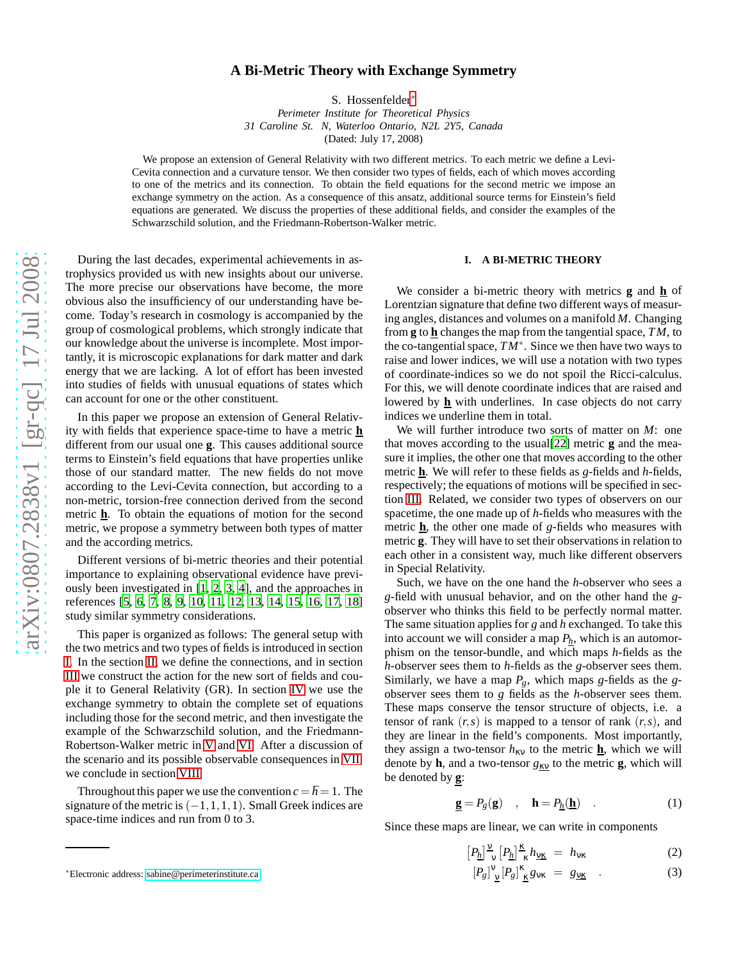# **A Bi-Metric Theory with Exchange Symmetry**

S. Hossenfelder [∗](#page-0-0)

*Perimeter Institute for Theoretical Physics 31 Caroline St. N, Waterloo Ontario, N2L 2Y5, Canada* (Dated: July 17, 2008)

We propose an extension of General Relativity with two different metrics. To each metric we define a Levi-Cevita connection and a curvature tensor. We then consider two types of fields, each of which moves according to one of the metrics and its connection. To obtain the field equations for the second metric we impose an exchange symmetry on the action. As a consequence of this ansatz, additional source terms for Einstein's field equations are generated. We discuss the properties of these additional fields, and consider the examples of the Schwarzschild solution, and the Friedmann-Robertson-Walker metric.

During the last decades, experimental achievements in astrophysics provided us with new insights about our universe. The more precise our observations have become, the more obvious also the insufficiency of our understanding have become. Today's research in cosmology is accompanied by the group of cosmological problems, which strongly indicate that our knowledge about the universe is incomplete. Most importantly, it is microscopic explanations for dark matter and dark energy that we are lacking. A lot of effort has been invested into studies of fields with unusual equations of states which can account for one or the other constituent.

In this paper we propose an extension of General Relativity with fields that experience space-time to have a metric **h** different from our usual one **g**. This causes additional source terms to Einstein's field equations that have properties unlike those of our standard matter. The new fields do not move according to the Levi-Cevita connection, but according to a non-metric, torsion-free connection derived from the second metric **h**. To obtain the equations of motion for the second metric, we propose a symmetry between both types of matter and the according metrics.

Different versions of bi-metric theories and their potential importance to explaining observational evidence have previously been investigated in [\[1](#page-7-0), [2,](#page-7-1) [3](#page-7-2), [4\]](#page-7-3), and the approaches in references [\[5,](#page-7-4) [6,](#page-7-5) [7,](#page-7-6) [8,](#page-7-7) [9](#page-7-8), [10](#page-7-9), [11](#page-7-10), [12](#page-7-11), [13,](#page-7-12) [14,](#page-7-13) [15,](#page-7-14) [16,](#page-7-15) [17,](#page-7-16) [18\]](#page-7-17) study similar symmetry considerations.

This paper is organized as follows: The general setup with the two metrics and two types of fields is introduced in sectio n [I.](#page-0-1) In the section [II,](#page-1-0) we define the connections, and in section [III](#page-2-0) we construct the action for the new sort of fields and couple it to General Relativity (GR). In section [IV](#page-3-0) we use the exchange symmetry to obtain the complete set of equations including those for the second metric, and then investigate the example of the Schwarzschild solution, and the Friedmann-Robertson-Walker metric in [V](#page-3-1) and [VI.](#page-4-0) After a discussion of the scenario and its possible observable consequences in [VII,](#page-5-0) we conclude in section [VIII.](#page-5-1)

Throughout this paper we use the convention  $c = \hbar = 1$ . The signature of the metric is  $(-1, 1, 1, 1)$ . Small Greek indices are space-time indices and run from 0 to 3.

We consider a bi-metric theory with metrics **g** and **h** of Lorentzian signature that define two different ways of measuring angles, distances and volumes on a manifold *M*. Changing from **g** to **h** changes the map from the tangential space, *TM*, to the co-tangential space, *TM* ∗ . Since we then have two ways to raise and lower indices, we will use a notation with two types of coordinate-indices so we do not spoil the Ricci-calculus . For this, we will denote coordinate indices that are raised and lowered by  $\underline{\mathbf{h}}$  with underlines. In case objects do not carry indices we underline them in total.

We will further introduce two sorts of matter on *M*: one that moves according to the usual[\[22\]](#page-7-18) metric **g** and the measure it implies, the other one that moves according to the other metric **h**. We will refer to these fields as *g*-fields and *h*-fields, respectively; the equations of motions will be specified in section [III.](#page-2-0) Related, we consider two types of observers on our spacetime, the one made up of *h*-fields who measures with the metric **h**, the other one made of *g*-fields who measures with metric **g**. They will have to set their observations in relation to each other in a consistent way, much like different observer s in Special Relativity.

Such, we have on the one hand the *h*-observer who sees a *g*-field with unusual behavior, and on the other hand the *g* observer who thinks this field to be perfectly normal matter. The same situation applies for *g* and *h* exchanged. To take this into account we will consider a map *Ph*, which is an automorphism on the tensor-bundle, and which maps *h*-fields as the *h*-observer sees them to *h*-fields as the *g*-observer sees them. Similarly, we have a map  $P_g$ , which maps g-fields as the gobserver sees them to *g* fields as the *h*-observer sees them. These maps conserve the tensor structure of objects, i.e. a tensor of rank  $(r, s)$  is mapped to a tensor of rank  $(r, s)$ , and they are linear in the field's components. Most importantly, they assign a two-tensor  $h_{\kappa v}$  to the metric  $\underline{\mathbf{h}}$ , which we will denote by **h**, and a two-tensor  $g_{\text{kv}}$  to the metric **g**, which will be denoted by **g** :

<span id="page-0-2"></span>
$$
\underline{\mathbf{g}} = P_g(\mathbf{g}) \quad , \quad \mathbf{h} = P_{\underline{h}}(\underline{\mathbf{h}}) \quad . \tag{1}
$$

Since these maps are linear, we can write in components

$$
\left[P_{\underline{h}}\right]_{\nu}^{\underline{\nu}}\left[P_{\underline{h}}\right]_{\kappa}^{\underline{\kappa}}h_{\underline{\nu}\underline{\kappa}} = h_{\nu\kappa} \tag{2}
$$

$$
[P_g]^{\mathsf{V}}_{\underline{\mathsf{V}}}[P_g]^{\mathsf{K}}_{\underline{\mathsf{K}}} g_{\mathsf{V}\mathsf{K}} = g_{\underline{\mathsf{V}\mathsf{K}}} \quad . \tag{3}
$$

<span id="page-0-1"></span>**I. A BI-METRIC THEORY**

<span id="page-0-0"></span><sup>∗</sup>Electronic address: [sabine@perimeterinstitute.ca](mailto:sabine@perimeterinstitute.ca)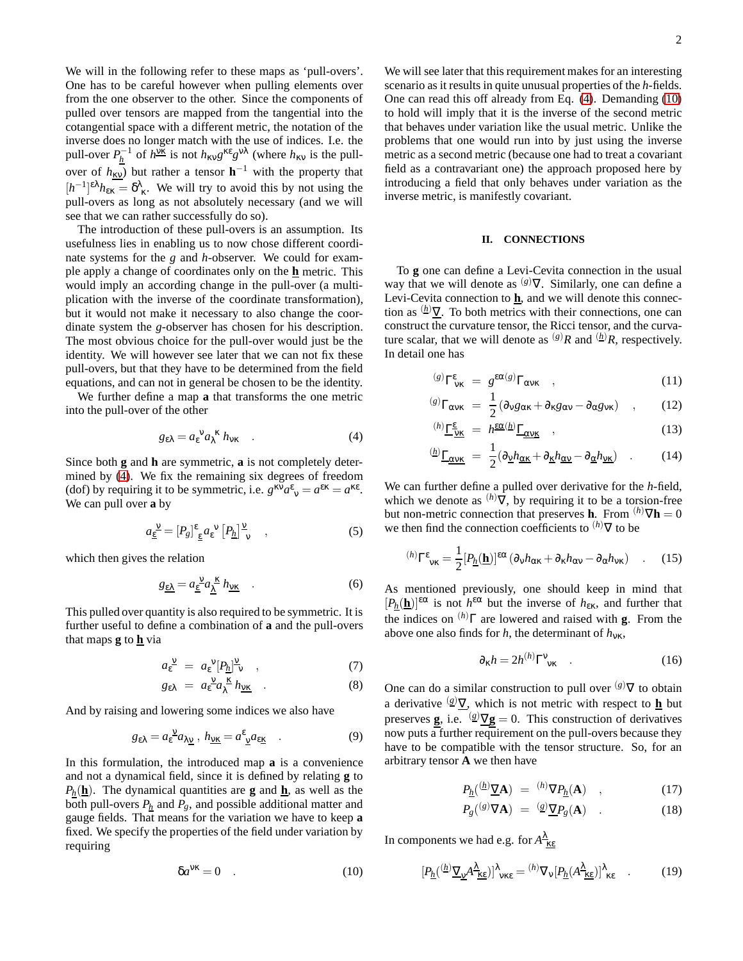We will in the following refer to these maps as 'pull-overs'. One has to be careful however when pulling elements over from the one observer to the other. Since the components of pulled over tensors are mapped from the tangential into the cotangential space with a different metric, the notation of the inverse does no longer match with the use of indices. I.e. the pull-over  $P_{\underline{h}}^{-1}$  of  $h^{\underline{vk}}$  is not  $h_{\kappa v} g^{\kappa \epsilon} g^{\nu \lambda}$  (where  $h_{\kappa v}$  is the pullover of  $h_{\rm XV}$ ) but rather a tensor  $\mathbf{h}^{-1}$  with the property that  $[h^{-1}]^{\epsilon \lambda} h_{\epsilon \kappa} = \delta^{\lambda}_{\kappa}$ . We will try to avoid this by not using the pull-overs as long as not absolutely necessary (and we will see that we can rather successfully do so).

The introduction of these pull-overs is an assumption. Its usefulness lies in enabling us to now chose different coordinate systems for the *g* and *h*-observer. We could for example apply a change of coordinates only on the **h** metric. This would imply an according change in the pull-over (a multiplication with the inverse of the coordinate transformation), but it would not make it necessary to also change the coordinate system the *g*-observer has chosen for his description. The most obvious choice for the pull-over would just be the identity. We will however see later that we can not fix these pull-overs, but that they have to be determined from the field equations, and can not in general be chosen to be the identity.

We further define a map **a** that transforms the one metric into the pull-over of the other

<span id="page-1-1"></span>
$$
g_{\varepsilon\lambda} = a_{\varepsilon}^{\ \nu} a_{\lambda}^{\ \kappa} h_{\nu\kappa} \quad . \tag{4}
$$

Since both **g** and **h** are symmetric, **a** is not completely determined by [\(4\)](#page-1-1). We fix the remaining six degrees of freedom (dof) by requiring it to be symmetric, i.e.  $g^{\kappa \bar{\nu}} a^{\epsilon}{}_{\nu} = a^{\epsilon \kappa} = a^{\kappa \epsilon}$ . We can pull over **a** by

$$
a_{\underline{\varepsilon}}^{\underline{\nu}} = [P_g]^{\varepsilon}{}_{\underline{\varepsilon}} a_{\varepsilon}^{\ \nu} [P_{\underline{h}}]^{\underline{\nu}}_{\ \nu} \quad , \tag{5}
$$

which then gives the relation

<span id="page-1-5"></span>
$$
g_{\underline{\epsilon\lambda}} = a_{\underline{\epsilon}}^{\ \underline{\nu}} a_{\underline{\lambda}}^{\ \underline{\kappa}} h_{\underline{\nu\kappa}} \quad . \tag{6}
$$

This pulled over quantity is also required to be symmetric. It is further useful to define a combination of **a** and the pull-overs that maps **g** to **h** via

<span id="page-1-3"></span>
$$
a_{\varepsilon}^{\underline{v}} = a_{\varepsilon}^{\ \underline{v}} [P_{\underline{h}}]^{\underline{v}}_{\ \nu} \quad , \tag{7}
$$

$$
g_{\varepsilon\lambda} = a_{\varepsilon}^{\underline{v}} a_{\lambda}^{\underline{\kappa}} h_{\underline{v}\underline{\kappa}} \quad . \tag{8}
$$

And by raising and lowering some indices we also have

$$
g_{\varepsilon\lambda} = a_{\varepsilon}^{\vee} a_{\lambda \underline{v}}, \ h_{\underline{v}\underline{\kappa}} = a_{\underline{v}}^{\varepsilon} a_{\varepsilon \underline{\kappa}} \quad . \tag{9}
$$

In this formulation, the introduced map **a** is a convenience and not a dynamical field, since it is defined by relating **g** to  $P_h(\mathbf{h})$ . The dynamical quantities are **g** and  $\mathbf{h}$ , as well as the both pull-overs  $P_h$  and  $P_g$ , and possible additional matter and gauge fields. That means for the variation we have to keep **a** fixed. We specify the properties of the field under variation by requiring

<span id="page-1-2"></span>
$$
\delta a^{\nu\kappa} = 0 \quad . \tag{10}
$$

We will see later that this requirement makes for an interesting scenario as it results in quite unusual properties of the *h*-fields. One can read this off already from Eq. [\(4\)](#page-1-1). Demanding [\(10\)](#page-1-2) to hold will imply that it is the inverse of the second metric that behaves under variation like the usual metric. Unlike the problems that one would run into by just using the inverse metric as a second metric (because one had to treat a covariant field as a contravariant one) the approach proposed here by introducing a field that only behaves under variation as the inverse metric, is manifestly covariant.

### <span id="page-1-0"></span>**II. CONNECTIONS**

To **g** one can define a Levi-Cevita connection in the usual way that we will denote as  $(g)\nabla$ . Similarly, one can define a Levi-Cevita connection to  $\underline{\mathbf{h}}$ , and we will denote this connection as  $(h)$   $\nabla$ . To both metrics with their connections, one can construct the curvature tensor, the Ricci tensor, and the curvature scalar, that we will denote as  $^{(g)}R$  and  $^{(h)}R$ , respectively. In detail one has

$$
^{(g)}\Gamma^{\varepsilon}_{\nu\kappa} = g^{\varepsilon\alpha(g)}\Gamma_{\alpha\nu\kappa} \quad , \tag{11}
$$

$$
^{(g)}\Gamma_{\alpha v\kappa} = \frac{1}{2} (\partial_{v} g_{\alpha\kappa} + \partial_{\kappa} g_{\alpha v} - \partial_{\alpha} g_{v\kappa}) \quad , \qquad (12)
$$

$$
^{(h)}\underline{\Gamma}^{\underline{\epsilon}}_{\underline{V}\underline{\kappa}} = h^{\underline{\epsilon}\underline{\alpha}(h)}\underline{\Gamma}_{\underline{\alpha}\underline{V}\underline{\kappa}} \quad , \tag{13}
$$

$$
{}^{(\underline{h})}\underline{\Gamma}_{\underline{\alpha}\underline{\nu}\underline{\kappa}} = \frac{1}{2} (\partial_{\underline{\nu}} h_{\underline{\alpha}\underline{\kappa}} + \partial_{\underline{\kappa}} h_{\underline{\alpha}\underline{\nu}} - \partial_{\underline{\alpha}} h_{\underline{\nu}\underline{\kappa}}) \quad . \tag{14}
$$

We can further define a pulled over derivative for the *h*-field, which we denote as  $(h)\nabla$ , by requiring it to be a torsion-free but non-metric connection that preserves **h**. From  $(h) \nabla \mathbf{h} = 0$ we then find the connection coefficients to (*h*)∇ to be

<span id="page-1-6"></span>
$$
{}^{(h)}\Gamma^{\varepsilon}_{\nu\kappa} = \frac{1}{2} [P_{\underline{h}}(\underline{\mathbf{h}})]^{\varepsilon\alpha} (\partial_{\nu} h_{\alpha\kappa} + \partial_{\kappa} h_{\alpha\nu} - \partial_{\alpha} h_{\nu\kappa}) \quad . \quad (15)
$$

As mentioned previously, one should keep in mind that  $[P_h(\mathbf{h})]^{\epsilon\alpha}$  is not  $h^{\epsilon\alpha}$  but the inverse of  $h_{\epsilon\kappa}$ , and further that the indices on (*h*)Γ are lowered and raised with **g**. From the above one also finds for *h*, the determinant of  $h_{\text{VK}}$ ,

<span id="page-1-4"></span>
$$
\partial_{\kappa} h = 2h^{(h)} \Gamma^{\nu}_{\nu\kappa} \quad . \tag{16}
$$

One can do a similar construction to pull over  $(g)\nabla$  to obtain a derivative  $\frac{g}{x}$ , which is not metric with respect to **h** but preserves **g**, i.e.  $\frac{g}{\mathbf{V}}\mathbf{g} = 0$ . This construction of derivatives now puts a further requirement on the pull-overs because they have to be compatible with the tensor structure. So, for an arbitrary tensor **A** we then have

$$
P_{\underline{h}}(^{(\underline{h})}\underline{\nabla}\mathbf{A}) = {}^{(h)}\nabla P_{\underline{h}}(\mathbf{A}) \quad , \tag{17}
$$

$$
P_g({}^{(g)}\nabla \mathbf{A}) = {}^{(g)}\underline{\nabla} P_g(\mathbf{A}) \quad . \tag{18}
$$

In components we had e.g. for  $A_{\kappa \epsilon}^{\lambda}$ 

$$
[P_{\underline{h}}(^{(\underline{h})}\underline{\nabla}_{\underline{\mathbf{v}}}A^{\underline{\lambda}}_{\underline{\kappa}\underline{\epsilon}})]^{\lambda}_{\mathbf{v}\kappa\epsilon} = {^{(h)}\nabla_{\mathbf{v}}[P_{\underline{h}}(A^{\underline{\lambda}}_{\underline{\kappa}\underline{\epsilon}})]^{\lambda}_{\kappa\epsilon}} \quad . \tag{19}
$$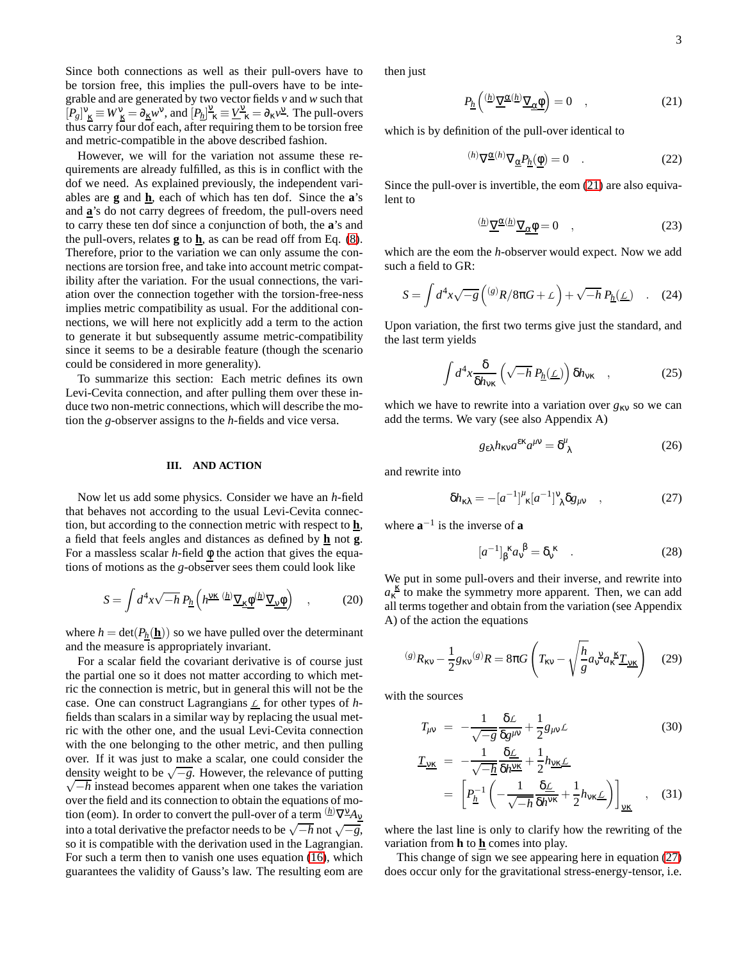Since both connections as well as their pull-overs have to be torsion free, this implies the pull-overs have to be integrable and are generated by two vector fields *v* and *w* such that  $[P_g]_K^v \equiv W_K^v = \partial_K w^v$ , and  $[P_h]_{\kappa}^v \equiv \underline{V}_{\kappa}^v = \partial_K v^v$ . The pull-overs thus carry four dof each, after requiring them to be torsion free and metric-compatible in the above described fashion.

However, we will for the variation not assume these requirements are already fulfilled, as this is in conflict with the dof we need. As explained previously, the independent variables are **g** and **h**, each of which has ten dof. Since the **a**'s and **a**'s do not carry degrees of freedom, the pull-overs need to carry these ten dof since a conjunction of both, the **a**'s and the pull-overs, relates  $g$  to  $h$ , as can be read off from Eq. [\(8\)](#page-1-3). Therefore, prior to the variation we can only assume the connections are torsion free, and take into account metric compatibility after the variation. For the usual connections, the variation over the connection together with the torsion-free-ness implies metric compatibility as usual. For the additional connections, we will here not explicitly add a term to the action to generate it but subsequently assume metric-compatibility since it seems to be a desirable feature (though the scenario could be considered in more generality).

To summarize this section: Each metric defines its own Levi-Cevita connection, and after pulling them over these induce two non-metric connections, which will describe the motion the *g*-observer assigns to the *h*-fields and vice versa.

# <span id="page-2-0"></span>**III. AND ACTION**

Now let us add some physics. Consider we have an *h*-field that behaves not according to the usual Levi-Cevita connection, but according to the connection metric with respect to **h**, a field that feels angles and distances as defined by **h** not **g**. For a massless scalar *h*-field φ the action that gives the equations of motions as the *g*-observer sees them could look like

$$
S = \int d^4x \sqrt{-h} \, P_{\underline{h}} \left( h^{\underline{V}K} \, \frac{(h)}{\underline{V}_K \Phi} \underline{(h)} \, \underline{\nabla}_\underline{V} \Phi \right) \quad , \tag{20}
$$

where  $h = det(P_h(\mathbf{h}))$  so we have pulled over the determinant and the measure is appropriately invariant.

For a scalar field the covariant derivative is of course just the partial one so it does not matter according to which metric the connection is metric, but in general this will not be the case. One can construct Lagrangians *L* for other types of *h*fields than scalars in a similar way by replacing the usual metric with the other one, and the usual Levi-Cevita connection with the one belonging to the other metric, and then pulling over. If it was just to make a scalar, one could consider the density weight to be  $\sqrt{-g}$ . However, the relevance of putting  $\sqrt{-h}$  instead becomes apparent when one takes the variation  $\sqrt{-h}$  instead becomes apparent when one takes the variation over the field and its connection to obtain the equations of motion (eom). In order to convert the pull-over of a term  ${}^{({\underline{h}})}\nabla^{{\underline{v}}} A_{\underline{v}}$ into a total derivative the prefactor needs to be  $\sqrt{-h}$  not  $\sqrt{-g}$ , so it is compatible with the derivation used in the Lagrangian. For such a term then to vanish one uses equation [\(16\)](#page-1-4), which guarantees the validity of Gauss's law. The resulting eom are

then just

<span id="page-2-1"></span>
$$
P_{\underline{h}}\left(\frac{(\underline{h})\,\underline{\nabla}^{\underline{\alpha}(\underline{h})}\,\underline{\nabla}_{\underline{\alpha}\underline{\phi}}\right) = 0 \quad , \tag{21}
$$

which is by definition of the pull-over identical to

$$
^{(h)}\nabla \underline{\alpha}^{(h)}\nabla_{\underline{\alpha}}P_{\underline{h}}(\underline{\phi}) = 0 \quad . \tag{22}
$$

Since the pull-over is invertible, the eom [\(21\)](#page-2-1) are also equivalent to

$$
rac{\langle h \rangle \nabla^{\underline{\alpha}}(h)}{\nabla_{\underline{\alpha}} \Phi} = 0 \quad , \tag{23}
$$

which are the eom the *h*-observer would expect. Now we add such a field to GR:

$$
S = \int d^4x \sqrt{-g} \left( \frac{(s)R}{8\pi G} + \mathcal{L} \right) + \sqrt{-h} P_{\underline{h}}(\underline{\mathcal{L}}) \quad . \quad (24)
$$

Upon variation, the first two terms give just the standard, and the last term yields

$$
\int d^4x \frac{\delta}{\delta h_{\rm VK}} \left( \sqrt{-h} \, P_{\underline{h}}(\underline{\mathcal{L}}) \right) \delta h_{\rm VK} \quad , \tag{25}
$$

which we have to rewrite into a variation over  $g_{\kappa v}$  so we can add the terms. We vary (see also Appendix A)

$$
g_{\varepsilon\lambda}h_{\kappa\nu}a^{\varepsilon\kappa}a^{\mu\nu} = \delta^{\mu}_{\ \lambda} \tag{26}
$$

and rewrite into

<span id="page-2-2"></span>
$$
\delta h_{\kappa\lambda} = -\left[a^{-1}\right]^{\mu}{}_{\kappa}\left[a^{-1}\right]^{\nu}{}_{\lambda}\delta g_{\mu\nu} \quad , \tag{27}
$$

where  $\mathbf{a}^{-1}$  is the inverse of **a** 

$$
[a^{-1}]_{\beta}^{\ \kappa} a_{\nu}^{\ \beta} = \delta_{\nu}^{\ \kappa} \quad . \tag{28}
$$

We put in some pull-overs and their inverse, and rewrite into  $a_k^{\underline{k}}$  to make the symmetry more apparent. Then, we can add all terms together and obtain from the variation (see Appendix A) of the action the equations

<span id="page-2-4"></span>
$$
^{(g)}R_{\kappa\nu} - \frac{1}{2}g_{\kappa\nu}{}^{(g)}R = 8\pi G \left( T_{\kappa\nu} - \sqrt{\frac{h}{g}} a_{\nu}{}^{\kappa} a_{\kappa}{}^{\kappa} \underline{T}_{\underline{\nu}\underline{\kappa}} \right) \quad (29)
$$

with the sources

<span id="page-2-3"></span>
$$
T_{\mu\nu} = -\frac{1}{\sqrt{-g}} \frac{\delta \mathcal{L}}{\delta g^{\mu\nu}} + \frac{1}{2} g_{\mu\nu} \mathcal{L}
$$
 (30)

$$
\underline{T}_{\underline{v}\underline{\kappa}} = -\frac{1}{\sqrt{-\underline{h}}} \frac{\delta \underline{\mathcal{L}}}{\delta h \underline{v} \underline{\kappa}} + \frac{1}{2} h_{\underline{v}\underline{\kappa}} \underline{\mathcal{L}}
$$
\n
$$
= \left[ P_{\underline{h}}^{-1} \left( -\frac{1}{\sqrt{-h}} \frac{\delta \underline{\mathcal{L}}}{\delta h \underline{v} \underline{\kappa}} + \frac{1}{2} h_{\underline{v} \underline{\kappa}} \underline{\mathcal{L}} \right) \right]_{\underline{v}\underline{\kappa}} , \quad (31)
$$

where the last line is only to clarify how the rewriting of the variation from **h** to **h** comes into play.

This change of sign we see appearing here in equation [\(27\)](#page-2-2) does occur only for the gravitational stress-energy-tensor, i.e.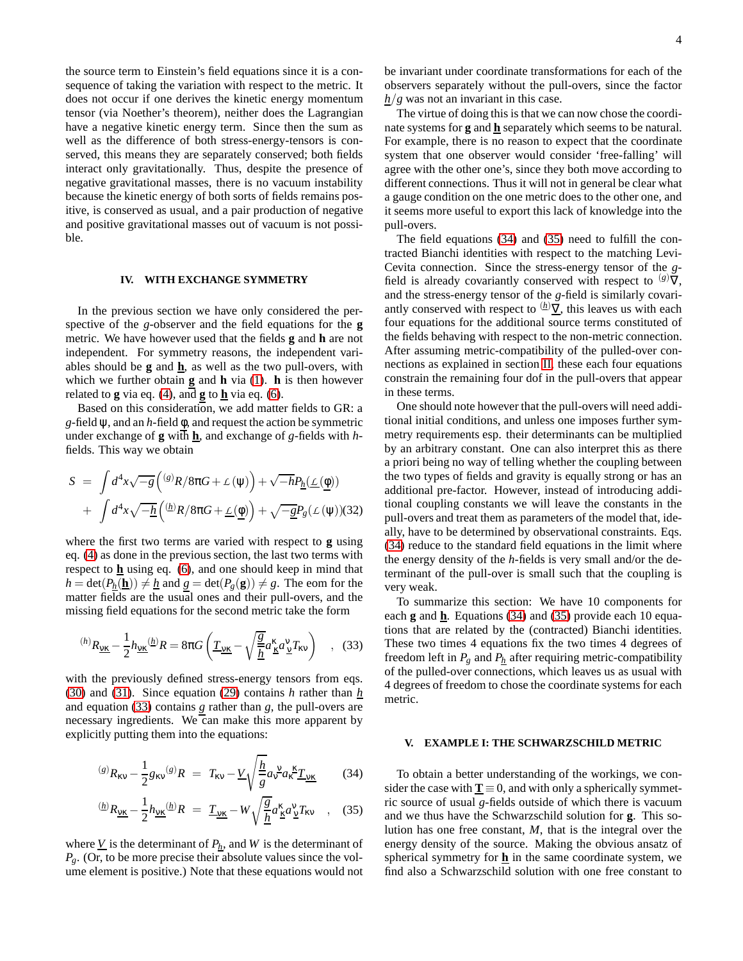the source term to Einstein's field equations since it is a consequence of taking the variation with respect to the metric. It does not occur if one derives the kinetic energy momentum tensor (via Noether's theorem), neither does the Lagrangian have a negative kinetic energy term. Since then the sum as well as the difference of both stress-energy-tensors is conserved, this means they are separately conserved; both fields interact only gravitationally. Thus, despite the presence of negative gravitational masses, there is no vacuum instability because the kinetic energy of both sorts of fields remains positive, is conserved as usual, and a pair production of negative and positive gravitational masses out of vacuum is not possible.

# <span id="page-3-0"></span>**IV. WITH EXCHANGE SYMMETRY**

In the previous section we have only considered the perspective of the *g*-observer and the field equations for the **g** metric. We have however used that the fields **g** and **h** are not independent. For symmetry reasons, the independent variables should be **g** and **h**, as well as the two pull-overs, with which we further obtain **g** and **h** via [\(1\)](#page-0-2). **h** is then however related to **g** via eq. [\(4\)](#page-1-1), and **g** to  $\underline{\mathbf{h}}$  via eq. [\(6\)](#page-1-5).

Based on this consideration, we add matter fields to GR: a *g*-field ψ, and an *h*-field φ, and request the action be symmetric under exchange of **g** with **h**, and exchange of *g*-fields with *h*fields. This way we obtain

$$
S = \int d^4x \sqrt{-g} \left( \frac{(s)R}{8\pi G} + \mathcal{L}(\psi) \right) + \sqrt{-h} P_{\underline{h}}(\underline{\mathcal{L}}(\underline{\phi}))
$$

$$
+ \int d^4x \sqrt{-\underline{h}} \left( \frac{(\underline{h})R}{8\pi G} + \underline{\mathcal{L}}(\underline{\phi}) \right) + \sqrt{-\underline{g}} P_g(\mathcal{L}(\psi))(32)
$$

where the first two terms are varied with respect to **g** using eq. [\(4\)](#page-1-1) as done in the previous section, the last two terms with respect to **h** using eq. [\(6\)](#page-1-5), and one should keep in mind that  $h = \det(P_h(\mathbf{\underline{h}})) \neq h$  and  $g = \det(P_g(\mathbf{g})) \neq g$ . The eom for the matter fields are the usual ones and their pull-overs, and the missing field equations for the second metric take the form

<span id="page-3-2"></span>
$$
^{(h)}R_{\underline{\mathbf{v}\mathbf{k}}} - \frac{1}{2}h_{\underline{\mathbf{v}\mathbf{k}}}^{(h)}R = 8\pi G \left(\underline{\underline{T}_{\underline{\mathbf{v}\mathbf{k}}}} - \sqrt{\frac{g}{\underline{h}}}a_{\underline{\mathbf{k}}}^{\underline{\mathbf{k}}}a_{\underline{\mathbf{v}}}^{\underline{\mathbf{v}}} \underline{\underline{T}}_{\mathbf{k}\underline{\mathbf{v}}}\right) , \quad (33)
$$

with the previously defined stress-energy tensors from eqs. [\(30\)](#page-2-3) and [\(31\)](#page-2-3). Since equation [\(29\)](#page-2-4) contains *h* rather than *h* and equation [\(33\)](#page-3-2) contains *g* rather than *g*, the pull-overs are necessary ingredients. We can make this more apparent by explicitly putting them into the equations:

<span id="page-3-3"></span>
$$
^{(s)}R_{\kappa\nu} - \frac{1}{2}g_{\kappa\nu}^{(s)}R = T_{\kappa\nu} - \underline{V}\sqrt{\frac{h}{g}}a_{\kappa}^{\nu}a_{\kappa}^{\kappa}\underline{T}_{\nu\kappa}
$$
(34)

$$
{}^{(\underline{h})}R_{\underline{v}\underline{\kappa}} - \frac{1}{2}h_{\underline{v}\underline{\kappa}}{}^{(\underline{h})}R = \underline{T}_{\underline{v}\underline{\kappa}} - W \sqrt{\frac{g}{\underline{h}}} a^{\underline{\kappa}}_{\underline{\kappa}} a^{\underline{v}}_{\underline{v}} T_{\underline{\kappa}v} \quad , \quad (35)
$$

where  $\underline{V}$  is the determinant of  $P_h$ , and  $W$  is the determinant of *Pg*. (Or, to be more precise their absolute values since the volume element is positive.) Note that these equations would not

The virtue of doing this is that we can now chose the coordinate systems for **g** and **h** separately which seems to be natural. For example, there is no reason to expect that the coordinate system that one observer would consider 'free-falling' will agree with the other one's, since they both move according to different connections. Thus it will not in general be clear what a gauge condition on the one metric does to the other one, and it seems more useful to export this lack of knowledge into the pull-overs.

 $h/g$  was not an invariant in this case.

The field equations [\(34\)](#page-3-3) and [\(35\)](#page-3-3) need to fulfill the contracted Bianchi identities with respect to the matching Levi-Cevita connection. Since the stress-energy tensor of the *g*field is already covariantly conserved with respect to  $(g)\nabla$ , and the stress-energy tensor of the *g*-field is similarly covariantly conserved with respect to  $(h)\nabla$ , this leaves us with each four equations for the additional source terms constituted of the fields behaving with respect to the non-metric connection. After assuming metric-compatibility of the pulled-over connections as explained in section [II,](#page-1-0) these each four equations constrain the remaining four dof in the pull-overs that appear in these terms.

One should note however that the pull-overs will need additional initial conditions, and unless one imposes further symmetry requirements esp. their determinants can be multiplied by an arbitrary constant. One can also interpret this as there a priori being no way of telling whether the coupling between the two types of fields and gravity is equally strong or has an additional pre-factor. However, instead of introducing additional coupling constants we will leave the constants in the pull-overs and treat them as parameters of the model that, ideally, have to be determined by observational constraints. Eqs. [\(34\)](#page-3-3) reduce to the standard field equations in the limit where the energy density of the *h*-fields is very small and/or the determinant of the pull-over is small such that the coupling is very weak.

To summarize this section: We have 10 components for each **g** and **h**. Equations [\(34\)](#page-3-3) and [\(35\)](#page-3-3) provide each 10 equations that are related by the (contracted) Bianchi identities. These two times 4 equations fix the two times 4 degrees of freedom left in  $P_g$  and  $P_h$  after requiring metric-compatibility of the pulled-over connections, which leaves us as usual with 4 degrees of freedom to chose the coordinate systems for each metric.

#### <span id="page-3-1"></span>**V. EXAMPLE I: THE SCHWARZSCHILD METRIC**

To obtain a better understanding of the workings, we consider the case with  $\underline{T} \equiv 0$ , and with only a spherically symmetric source of usual *g*-fields outside of which there is vacuum and we thus have the Schwarzschild solution for **g**. This solution has one free constant, *M*, that is the integral over the energy density of the source. Making the obvious ansatz of spherical symmetry for **h** in the same coordinate system, we find also a Schwarzschild solution with one free constant to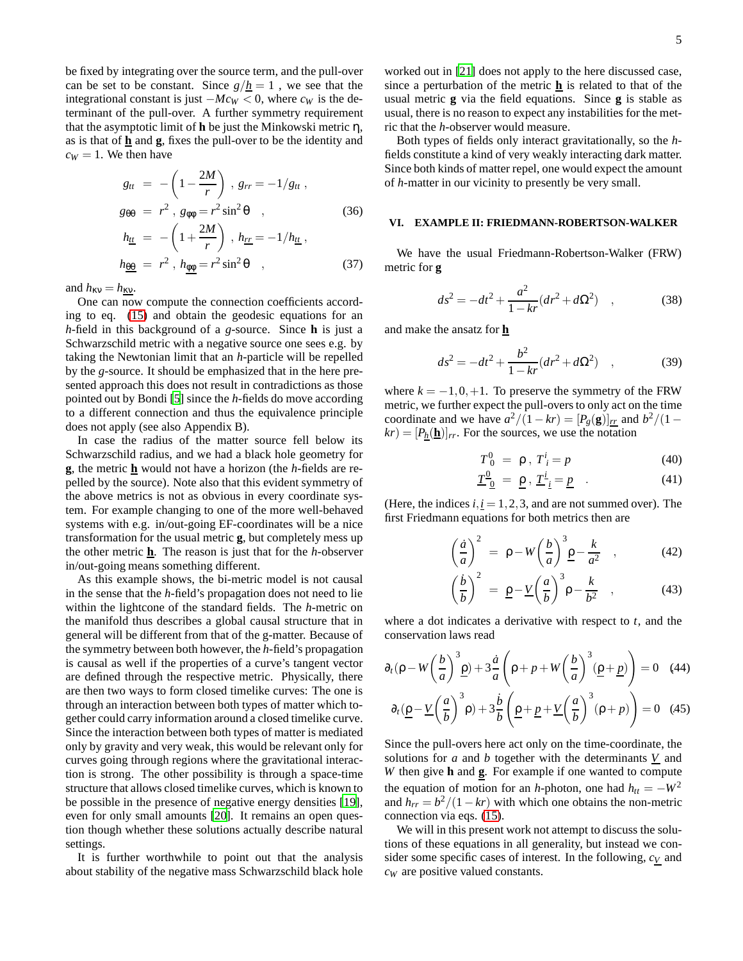be fixed by integrating over the source term, and the pull-over can be set to be constant. Since  $g/h = 1$ , we see that the integrational constant is just  $-Mc_W < 0$ , where  $c_W$  is the determinant of the pull-over. A further symmetry requirement that the asymptotic limit of **h** be just the Minkowski metric η, as is that of  $\underline{\mathbf{h}}$  and  $\underline{\mathbf{g}}$ , fixes the pull-over to be the identity and  $c_W = 1$ . We then have

$$
g_{tt} = -\left(1 - \frac{2M}{r}\right), g_{rr} = -1/g_{tt},
$$
  
\n
$$
g_{\theta\theta} = r^2, g_{\phi\phi} = r^2 \sin^2 \theta, \qquad (36)
$$
  
\n
$$
h_{\underline{t}\underline{t}} = -\left(1 + \frac{2M}{r}\right), h_{\underline{r}\underline{r}} = -1/h_{\underline{t}\underline{t}},
$$
  
\n
$$
h_{\underline{\theta\theta}} = r^2, h_{\underline{\phi\phi}} = r^2 \sin^2 \theta, \qquad (37)
$$

and  $h_{\kappa v} = h_{\kappa v}$ .

One can now compute the connection coefficients according to eq. [\(15\)](#page-1-6) and obtain the geodesic equations for an *h*-field in this background of a *g*-source. Since **h** is just a Schwarzschild metric with a negative source one sees e.g. by taking the Newtonian limit that an *h*-particle will be repelled by the *g*-source. It should be emphasized that in the here presented approach this does not result in contradictions as those pointed out by Bondi [\[5\]](#page-7-4) since the *h*-fields do move according to a different connection and thus the equivalence principle does not apply (see also Appendix B).

In case the radius of the matter source fell below its Schwarzschild radius, and we had a black hole geometry for **g**, the metric **h** would not have a horizon (the *h*-fields are repelled by the source). Note also that this evident symmetry of the above metrics is not as obvious in every coordinate system. For example changing to one of the more well-behaved systems with e.g. in/out-going EF-coordinates will be a nice transformation for the usual metric **g**, but completely mess up the other metric **h**. The reason is just that for the *h*-observer in/out-going means something different.

As this example shows, the bi-metric model is not causal in the sense that the *h*-field's propagation does not need to lie within the lightcone of the standard fields. The *h*-metric on the manifold thus describes a global causal structure that in general will be different from that of the g-matter. Because of the symmetry between both however, the *h*-field's propagation is causal as well if the properties of a curve's tangent vector are defined through the respective metric. Physically, there are then two ways to form closed timelike curves: The one is through an interaction between both types of matter which together could carry information around a closed timelike curve. Since the interaction between both types of matter is mediated only by gravity and very weak, this would be relevant only for curves going through regions where the gravitational interaction is strong. The other possibility is through a space-time structure that allows closed timelike curves, which is known to be possible in the presence of negative energy densities [\[19](#page-7-19)], even for only small amounts [\[20\]](#page-7-20). It remains an open question though whether these solutions actually describe natural settings.

It is further worthwhile to point out that the analysis about stability of the negative mass Schwarzschild black hole

worked out in [\[21\]](#page-7-21) does not apply to the here discussed case, since a perturbation of the metric **h** is related to that of the usual metric **g** via the field equations. Since **g** is stable as usual, there is no reason to expect any instabilities for the metric that the *h*-observer would measure.

Both types of fields only interact gravitationally, so the *h*fields constitute a kind of very weakly interacting dark matter. Since both kinds of matter repel, one would expect the amount of *h*-matter in our vicinity to presently be very small.

#### <span id="page-4-0"></span>**VI. EXAMPLE II: FRIEDMANN-ROBERTSON-WALKER**

We have the usual Friedmann-Robertson-Walker (FRW) metric for **g**

$$
ds^{2} = -dt^{2} + \frac{a^{2}}{1 - kr}(dr^{2} + d\Omega^{2}) \quad , \tag{38}
$$

and make the ansatz for **h**

$$
ds^{2} = -dt^{2} + \frac{b^{2}}{1 - kr}(dr^{2} + d\Omega^{2}) \quad , \tag{39}
$$

where  $k = -1, 0, +1$ . To preserve the symmetry of the FRW metric, we further expect the pull-overs to only act on the time coordinate and we have  $a^2/(1 - kr) = [P_g(\mathbf{g})]_{rr}$  and  $b^2/(1 - kr)$  $kr$ ) =  $[P_h(\mathbf{h})]_{rr}$ . For the sources, we use the notation

$$
T^0_{\ 0} = \rho \,,\ T^i_{\ i} = p \tag{40}
$$

$$
\underline{T}^{\underline{0}}_{\underline{0}} = \underline{p}, \underline{T}^{\underline{i}}_{\underline{i}} = \underline{p} \quad . \tag{41}
$$

(Here, the indices  $i, i = 1, 2, 3$ , and are not summed over). The first Friedmann equations for both metrics then are

<span id="page-4-1"></span>
$$
\left(\frac{\dot{a}}{a}\right)^2 = \rho - W\left(\frac{b}{a}\right)^3 \underline{\rho} - \frac{k}{a^2} \quad , \tag{42}
$$

$$
\left(\frac{\dot{b}}{b}\right)^2 = \underline{\rho} - \underline{V}\left(\frac{a}{b}\right)^3 \rho - \frac{k}{b^2} \quad , \tag{43}
$$

where a dot indicates a derivative with respect to *t*, and the conservation laws read

$$
\partial_t (\rho - W \left(\frac{b}{a}\right)^3 \underline{\rho}) + 3 \frac{\dot{a}}{a} \left(\rho + p + W \left(\frac{b}{a}\right)^3 (\underline{\rho} + \underline{p})\right) = 0 \quad (44)
$$

$$
\partial_t (\underline{\rho} - \underline{V} \left(\frac{a}{b}\right)^3 \rho) + 3 \frac{\dot{b}}{b} \left(\underline{\rho} + \underline{p} + \underline{V} \left(\frac{a}{b}\right)^3 (\rho + p)\right) = 0 \quad (45)
$$

Since the pull-overs here act only on the time-coordinate, the solutions for  $a$  and  $b$  together with the determinants  $\underline{V}$  and *W* then give **h** and **g**. For example if one wanted to compute the equation of motion for an *h*-photon, one had  $h_{tt} = -W^2$ and  $h_{rr} = b^2/(1 - kr)$  with which one obtains the non-metric connection via eqs. [\(15\)](#page-1-6).

We will in this present work not attempt to discuss the solutions of these equations in all generality, but instead we consider some specific cases of interest. In the following, *c<sup>V</sup>* and *c<sup>W</sup>* are positive valued constants.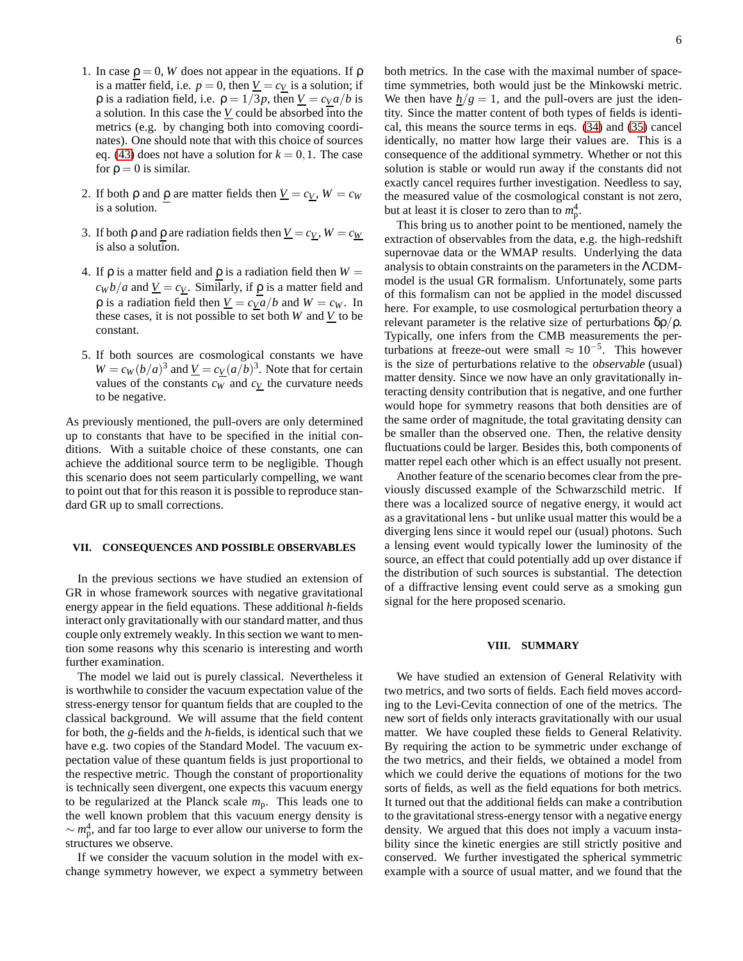- 1. In case  $\rho = 0$ , *W* does not appear in the equations. If  $\rho$ is a matter field, i.e.  $p = 0$ , then  $V = c_V$  is a solution; if *ρ* is a radiation field, i.e.  $ρ = 1/3p$ , then  $V = c<sub>V</sub>a/b$  is a solution. In this case the  *could be absorbed into the* metrics (e.g. by changing both into comoving coordinates). One should note that with this choice of sources eq. [\(43\)](#page-4-1) does not have a solution for  $k = 0, 1$ . The case for  $\rho = 0$  is similar.
- 2. If both  $\rho$  and  $\rho$  are matter fields then  $\underline{V} = c_V$ ,  $W = c_W$ is a solution.
- 3. If both  $\rho$  and  $\rho$  are radiation fields then  $\underline{V} = c_V$ ,  $W = c_W$ is also a solution.
- 4. If  $ρ$  is a matter field and  $ρ$  is a radiation field then  $W =$  $c_W b/a$  and  $\underline{V} = c_{\underline{V}}$ . Similarly, if  $\rho$  is a matter field and *ρ* is a radiation field then *V* = *cVa lb* and *W* = *c<sub><i>W*</sub>. In these cases, it is not possible to set both  $W$  and  $V$  to be constant.
- 5. If both sources are cosmological constants we have  $W = c_W (b/a)^3$  and  $V = c_V (a/b)^3$ . Note that for certain values of the constants  $c_W$  and  $c_V$  the curvature needs to be negative.

As previously mentioned, the pull-overs are only determined up to constants that have to be specified in the initial conditions. With a suitable choice of these constants, one can achieve the additional source term to be negligible. Though this scenario does not seem particularly compelling, we want to point out that for this reason it is possible to reproduce standard GR up to small corrections.

# <span id="page-5-0"></span>**VII. CONSEQUENCES AND POSSIBLE OBSERVABLES**

In the previous sections we have studied an extension of GR in whose framework sources with negative gravitational energy appear in the field equations. These additional *h*-fields interact only gravitationally with our standard matter, and thus couple only extremely weakly. In this section we want to mention some reasons why this scenario is interesting and worth further examination.

The model we laid out is purely classical. Nevertheless it is worthwhile to consider the vacuum expectation value of the stress-energy tensor for quantum fields that are coupled to the classical background. We will assume that the field content for both, the *g*-fields and the *h*-fields, is identical such that we have e.g. two copies of the Standard Model. The vacuum expectation value of these quantum fields is just proportional to the respective metric. Though the constant of proportionality is technically seen divergent, one expects this vacuum energy to be regularized at the Planck scale *m*p. This leads one to the well known problem that this vacuum energy density is ∼ *m* 4 p , and far too large to ever allow our universe to form the structures we observe.

If we consider the vacuum solution in the model with exchange symmetry however, we expect a symmetry between both metrics. In the case with the maximal number of spacetime symmetries, both would just be the Minkowski metric. We then have  $h/g = 1$ , and the pull-overs are just the identity. Since the matter content of both types of fields is identical, this means the source terms in eqs. [\(34\)](#page-3-3) and [\(35\)](#page-3-3) cancel identically, no matter how large their values are. This is a consequence of the additional symmetry. Whether or not this solution is stable or would run away if the constants did not exactly cancel requires further investigation. Needless to say, the measured value of the cosmological constant is not zero, but at least it is closer to zero than to  $m_p^4$ .

This bring us to another point to be mentioned, namely the extraction of observables from the data, e.g. the high-redshift supernovae data or the WMAP results. Underlying the data analysis to obtain constraints on the parameters in the ΛCDMmodel is the usual GR formalism. Unfortunately, some parts of this formalism can not be applied in the model discussed here. For example, to use cosmological perturbation theory a relevant parameter is the relative size of perturbations  $δρ/ρ$ . Typically, one infers from the CMB measurements the perturbations at freeze-out were small  $\approx 10^{-5}$ . This however is the size of perturbations relative to the observable (usual) matter density. Since we now have an only gravitationally interacting density contribution that is negative, and one further would hope for symmetry reasons that both densities are of the same order of magnitude, the total gravitating density can be smaller than the observed one. Then, the relative density fluctuations could be larger. Besides this, both components of matter repel each other which is an effect usually not present.

Another feature of the scenario becomes clear from the previously discussed example of the Schwarzschild metric. If there was a localized source of negative energy, it would act as a gravitational lens - but unlike usual matter this would be a diverging lens since it would repel our (usual) photons. Such a lensing event would typically lower the luminosity of the source, an effect that could potentially add up over distance if the distribution of such sources is substantial. The detection of a diffractive lensing event could serve as a smoking gun signal for the here proposed scenario.

#### <span id="page-5-1"></span>**VIII. SUMMARY**

We have studied an extension of General Relativity with two metrics, and two sorts of fields. Each field moves according to the Levi-Cevita connection of one of the metrics. The new sort of fields only interacts gravitationally with our usual matter. We have coupled these fields to General Relativity. By requiring the action to be symmetric under exchange of the two metrics, and their fields, we obtained a model from which we could derive the equations of motions for the two sorts of fields, as well as the field equations for both metrics. It turned out that the additional fields can make a contribution to the gravitational stress-energy tensor with a negative energy density. We argued that this does not imply a vacuum instability since the kinetic energies are still strictly positive and conserved. We further investigated the spherical symmetric example with a source of usual matter, and we found that the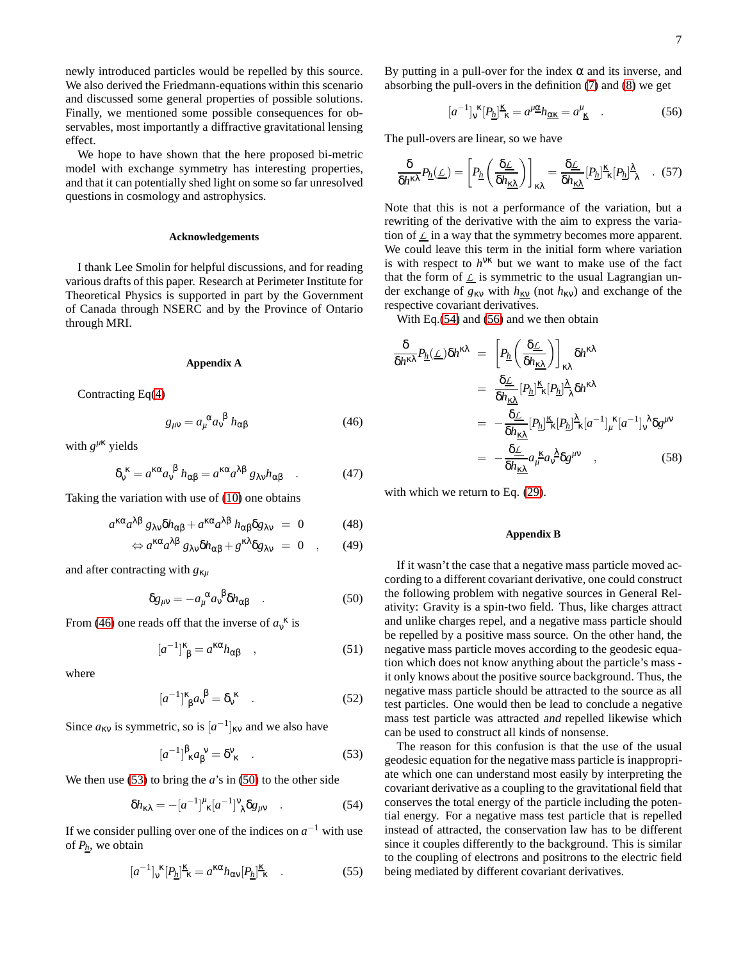newly introduced particles would be repelled by this source. We also derived the Friedmann-equations within this scenario and discussed some general properties of possible solutions. Finally, we mentioned some possible consequences for observables, most importantly a diffractive gravitational lensing effect.

We hope to have shown that the here proposed bi-metric model with exchange symmetry has interesting properties, and that it can potentially shed light on some so far unresolved questions in cosmology and astrophysics.

### **Acknowledgements**

I thank Lee Smolin for helpful discussions, and for reading various drafts of this paper. Research at Perimeter Institute for Theoretical Physics is supported in part by the Government of Canada through NSERC and by the Province of Ontario through MRI.

#### **Appendix A**

Contracting Eq[\(4\)](#page-1-1)

<span id="page-6-0"></span>
$$
g_{\mu\nu} = a_{\mu}^{\ \alpha} a_{\nu}^{\ \beta} h_{\alpha\beta} \tag{46}
$$

with  $g^{\mu\nk}$  yields

$$
\delta_v^{\kappa} = a^{\kappa \alpha} a_v^{\beta} h_{\alpha \beta} = a^{\kappa \alpha} a^{\lambda \beta} g_{\lambda \nu} h_{\alpha \beta} \quad . \tag{47}
$$

Taking the variation with use of [\(10\)](#page-1-2) one obtains

$$
a^{\kappa\alpha}a^{\lambda\beta}g_{\lambda\nu}\delta h_{\alpha\beta} + a^{\kappa\alpha}a^{\lambda\beta}h_{\alpha\beta}\delta g_{\lambda\nu} = 0 \qquad (48)
$$

$$
\Leftrightarrow a^{\kappa\alpha}a^{\lambda\beta}g_{\lambda\nu}\delta h_{\alpha\beta} + g^{\kappa\lambda}\delta g_{\lambda\nu} = 0 \quad , \qquad (49)
$$

and after contracting with *g*κ*<sup>µ</sup>*

<span id="page-6-2"></span>
$$
\delta g_{\mu\nu} = -a_{\mu}^{\ \alpha} a_{\nu}^{\ \beta} \delta h_{\alpha\beta} \quad . \tag{50}
$$

From [\(46\)](#page-6-0) one reads off that the inverse of  $a_v^k$  is

$$
[a^{-1}]^{\kappa}_{\ \beta} = a^{\kappa\alpha} h_{\alpha\beta} \quad , \tag{51}
$$

where

$$
[a^{-1}]^{\kappa}_{\ \beta} a_{\nu}^{\ \beta} = \delta_{\nu}^{\ \kappa} \quad . \tag{52}
$$

Since  $a_{\kappa v}$  is symmetric, so is  $[a^{-1}]_{\kappa v}$  and we also have

<span id="page-6-1"></span>
$$
[a^{-1}]^{\beta}_{\kappa} a_{\beta}^{\nu} = \delta^{\nu}_{\kappa} \quad . \tag{53}
$$

We then use  $(53)$  to bring the *a*'s in  $(50)$  to the other side

<span id="page-6-3"></span>
$$
\delta h_{\kappa\lambda} = -[a^{-1}]^{\mu}_{\kappa}[a^{-1}]^{\nu}_{\lambda}\delta g_{\mu\nu} \quad . \tag{54}
$$

If we consider pulling over one of the indices on  $a^{-1}$  with use of *Ph*, we obtain

$$
[a^{-1}]_{\mathsf{v}}^{\kappa}[P_{\underline{h}}]^{\underline{\kappa}}_{\kappa} = a^{\kappa\alpha}h_{\alpha\mathsf{v}}[P_{\underline{h}}]^{\underline{\kappa}}_{\kappa} \quad . \tag{55}
$$

By putting in a pull-over for the index  $\alpha$  and its inverse, and absorbing the pull-overs in the definition [\(7\)](#page-1-3) and [\(8\)](#page-1-3) we get

<span id="page-6-4"></span>
$$
[a^{-1}]_{\mathsf{v}}^{\ \kappa} [P_{\underline{h}}]^{\underline{\kappa}}_{\ \kappa} = a^{\mu \underline{\alpha}} h_{\underline{\alpha} \underline{\kappa}} = a^{\mu}_{\ \underline{\kappa}} \quad . \tag{56}
$$

The pull-overs are linear, so we have

$$
\frac{\delta}{\delta h^{\kappa\lambda}}P_{\underline{h}}(\underline{\mathcal{L}})=\left[P_{\underline{h}}\left(\frac{\delta \underline{\mathcal{L}}}{\delta h_{\underline{\kappa\lambda}}}\right)\right]_{\kappa\lambda}=\frac{\delta \underline{\mathcal{L}}}{\delta h_{\underline{\kappa\lambda}}}[P_{\underline{h}}]^{\underline{\kappa}}_{\phantom{\underline{\kappa}}\kappa}[P_{\underline{h}}]^{\underline{\lambda}}_{\phantom{\underline{\lambda}\lambda}}\quad . \quad (57)
$$

Note that this is not a performance of the variation, but a rewriting of the derivative with the aim to express the variation of  $\mathcal L$  in a way that the symmetry becomes more apparent. We could leave this term in the initial form where variation is with respect to  $h^{VK}$  but we want to make use of the fact that the form of  $L$  is symmetric to the usual Lagrangian under exchange of  $g_{\kappa v}$  with  $h_{\kappa v}$  (not  $h_{\kappa v}$ ) and exchange of the respective covariant derivatives.

With Eq.[\(54\)](#page-6-3) and [\(56\)](#page-6-4) and we then obtain

$$
\frac{\delta}{\delta h^{\kappa\lambda}} P_{\underline{h}}(\underline{\mathcal{L}}) \delta h^{\kappa\lambda} = \left[ P_{\underline{h}} \left( \frac{\delta \underline{\mathcal{L}}}{\delta h_{\underline{\kappa\lambda}}} \right) \right]_{\kappa\lambda} \delta h^{\kappa\lambda}
$$

$$
= \frac{\delta \underline{\mathcal{L}}}{\delta h_{\underline{\kappa\lambda}}} [P_{\underline{h}}]^{\underline{\kappa}} [\underline{P_{h}}]^{\underline{\lambda}} \delta h^{\kappa\lambda}
$$

$$
= -\frac{\delta \underline{\mathcal{L}}}{\delta h_{\underline{\kappa\lambda}}} [P_{\underline{h}}]^{\underline{\kappa}} [\underline{P_{h}}]^{\underline{\lambda}} \underline{\kappa} [a^{-1}]_{\mu}^{\kappa} [a^{-1}]_{\nu}^{\lambda} \delta g^{\mu\nu}
$$

$$
= -\frac{\delta \underline{\mathcal{L}}}{\delta h_{\underline{\kappa\lambda}}} a_{\mu}^{\kappa} a_{\nu}^{\lambda} \delta g^{\mu\nu} , \qquad (58)
$$

with which we return to Eq. [\(29\)](#page-2-4).

## **Appendix B**

If it wasn't the case that a negative mass particle moved according to a different covariant derivative, one could construct the following problem with negative sources in General Relativity: Gravity is a spin-two field. Thus, like charges attract and unlike charges repel, and a negative mass particle should be repelled by a positive mass source. On the other hand, the negative mass particle moves according to the geodesic equation which does not know anything about the particle's mass it only knows about the positive source background. Thus, the negative mass particle should be attracted to the source as all test particles. One would then be lead to conclude a negative mass test particle was attracted and repelled likewise which can be used to construct all kinds of nonsense.

The reason for this confusion is that the use of the usual geodesic equation for the negative mass particle is inappropriate which one can understand most easily by interpreting the covariant derivative as a coupling to the gravitational field that conserves the total energy of the particle including the potential energy. For a negative mass test particle that is repelled instead of attracted, the conservation law has to be different since it couples differently to the background. This is similar to the coupling of electrons and positrons to the electric field being mediated by different covariant derivatives.